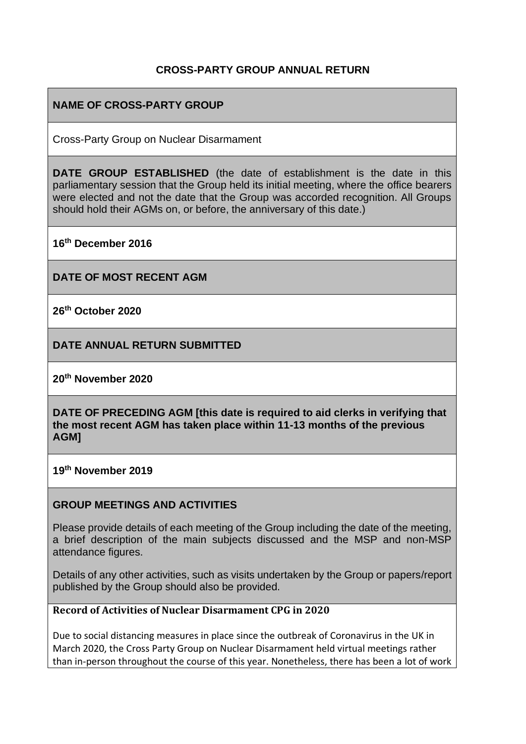## **CROSS-PARTY GROUP ANNUAL RETURN**

## **NAME OF CROSS-PARTY GROUP**

Cross-Party Group on Nuclear Disarmament

**DATE GROUP ESTABLISHED** (the date of establishment is the date in this parliamentary session that the Group held its initial meeting, where the office bearers were elected and not the date that the Group was accorded recognition. All Groups should hold their AGMs on, or before, the anniversary of this date.)

**16th December 2016**

**DATE OF MOST RECENT AGM**

**26th October 2020**

**DATE ANNUAL RETURN SUBMITTED**

**20th November 2020**

**DATE OF PRECEDING AGM [this date is required to aid clerks in verifying that the most recent AGM has taken place within 11-13 months of the previous AGM]**

**19th November 2019**

### **GROUP MEETINGS AND ACTIVITIES**

Please provide details of each meeting of the Group including the date of the meeting, a brief description of the main subjects discussed and the MSP and non-MSP attendance figures.

Details of any other activities, such as visits undertaken by the Group or papers/report published by the Group should also be provided.

### **Record of Activities of Nuclear Disarmament CPG in 2020**

Due to social distancing measures in place since the outbreak of Coronavirus in the UK in March 2020, the Cross Party Group on Nuclear Disarmament held virtual meetings rather than in-person throughout the course of this year. Nonetheless, there has been a lot of work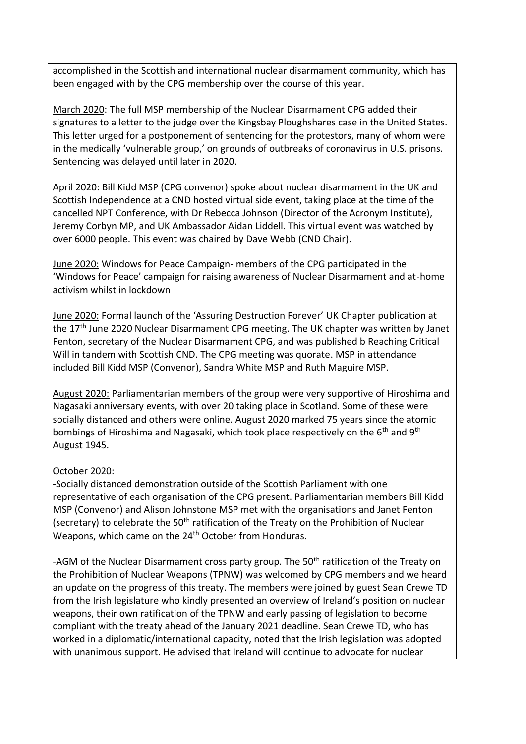accomplished in the Scottish and international nuclear disarmament community, which has been engaged with by the CPG membership over the course of this year.

March 2020: The full MSP membership of the Nuclear Disarmament CPG added their signatures to a letter to the judge over the Kingsbay Ploughshares case in the United States. This letter urged for a postponement of sentencing for the protestors, many of whom were in the medically 'vulnerable group,' on grounds of outbreaks of coronavirus in U.S. prisons. Sentencing was delayed until later in 2020.

April 2020: Bill Kidd MSP (CPG convenor) spoke about nuclear disarmament in the UK and Scottish Independence at a CND hosted virtual side event, taking place at the time of the cancelled NPT Conference, with Dr Rebecca Johnson (Director of the Acronym Institute), Jeremy Corbyn MP, and UK Ambassador Aidan Liddell. This virtual event was watched by over 6000 people. This event was chaired by Dave Webb (CND Chair).

June 2020: Windows for Peace Campaign- members of the CPG participated in the 'Windows for Peace' campaign for raising awareness of Nuclear Disarmament and at-home activism whilst in lockdown

June 2020: Formal launch of the 'Assuring Destruction Forever' UK Chapter publication at the 17<sup>th</sup> June 2020 Nuclear Disarmament CPG meeting. The UK chapter was written by Janet Fenton, secretary of the Nuclear Disarmament CPG, and was published b Reaching Critical Will in tandem with Scottish CND. The CPG meeting was quorate. MSP in attendance included Bill Kidd MSP (Convenor), Sandra White MSP and Ruth Maguire MSP.

August 2020: Parliamentarian members of the group were very supportive of Hiroshima and Nagasaki anniversary events, with over 20 taking place in Scotland. Some of these were socially distanced and others were online. August 2020 marked 75 years since the atomic bombings of Hiroshima and Nagasaki, which took place respectively on the 6<sup>th</sup> and 9<sup>th</sup> August 1945.

### October 2020:

-Socially distanced demonstration outside of the Scottish Parliament with one representative of each organisation of the CPG present. Parliamentarian members Bill Kidd MSP (Convenor) and Alison Johnstone MSP met with the organisations and Janet Fenton (secretary) to celebrate the 50<sup>th</sup> ratification of the Treaty on the Prohibition of Nuclear Weapons, which came on the 24<sup>th</sup> October from Honduras.

-AGM of the Nuclear Disarmament cross party group. The 50<sup>th</sup> ratification of the Treaty on the Prohibition of Nuclear Weapons (TPNW) was welcomed by CPG members and we heard an update on the progress of this treaty. The members were joined by guest Sean Crewe TD from the Irish legislature who kindly presented an overview of Ireland's position on nuclear weapons, their own ratification of the TPNW and early passing of legislation to become compliant with the treaty ahead of the January 2021 deadline. Sean Crewe TD, who has worked in a diplomatic/international capacity, noted that the Irish legislation was adopted with unanimous support. He advised that Ireland will continue to advocate for nuclear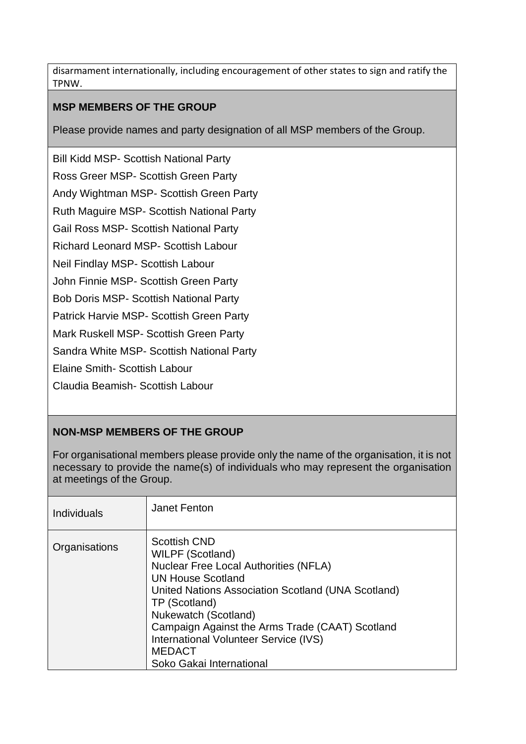disarmament internationally, including encouragement of other states to sign and ratify the TPNW.

## **MSP MEMBERS OF THE GROUP**

Please provide names and party designation of all MSP members of the Group.

Bill Kidd MSP- Scottish National Party Ross Greer MSP- Scottish Green Party Andy Wightman MSP- Scottish Green Party Ruth Maguire MSP- Scottish National Party Gail Ross MSP- Scottish National Party Richard Leonard MSP- Scottish Labour Neil Findlay MSP- Scottish Labour John Finnie MSP- Scottish Green Party Bob Doris MSP- Scottish National Party Patrick Harvie MSP- Scottish Green Party Mark Ruskell MSP- Scottish Green Party Sandra White MSP- Scottish National Party Elaine Smith- Scottish Labour Claudia Beamish- Scottish Labour

# **NON-MSP MEMBERS OF THE GROUP**

For organisational members please provide only the name of the organisation, it is not necessary to provide the name(s) of individuals who may represent the organisation at meetings of the Group.

| <b>Individuals</b> | Janet Fenton                                                                                                                                                                                                                                                                                                                                                       |
|--------------------|--------------------------------------------------------------------------------------------------------------------------------------------------------------------------------------------------------------------------------------------------------------------------------------------------------------------------------------------------------------------|
| Organisations      | <b>Scottish CND</b><br><b>WILPF (Scotland)</b><br><b>Nuclear Free Local Authorities (NFLA)</b><br><b>UN House Scotland</b><br>United Nations Association Scotland (UNA Scotland)<br>TP (Scotland)<br>Nukewatch (Scotland)<br>Campaign Against the Arms Trade (CAAT) Scotland<br>International Volunteer Service (IVS)<br><b>MEDACT</b><br>Soko Gakai International |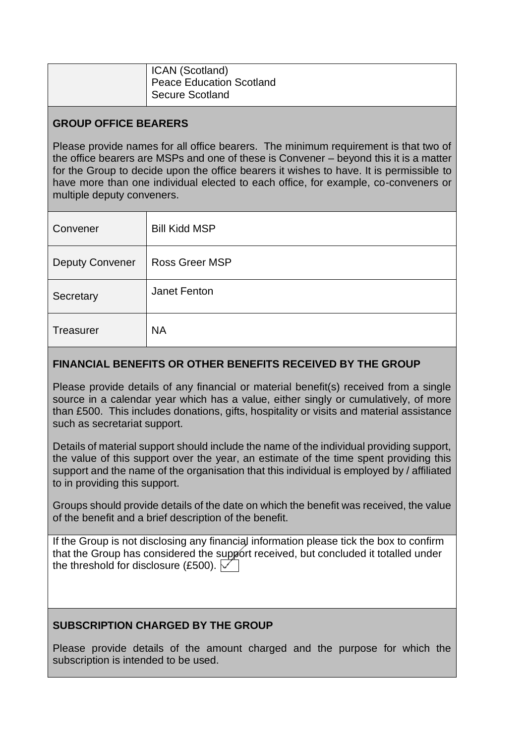| ICAN (Scotland)              |
|------------------------------|
| Peace Education Scotland     |
| <sup>1</sup> Secure Scotland |

## **GROUP OFFICE BEARERS**

Please provide names for all office bearers. The minimum requirement is that two of the office bearers are MSPs and one of these is Convener – beyond this it is a matter for the Group to decide upon the office bearers it wishes to have. It is permissible to have more than one individual elected to each office, for example, co-conveners or multiple deputy conveners.

| Convener               | <b>Bill Kidd MSP</b> |
|------------------------|----------------------|
| <b>Deputy Convener</b> | Ross Greer MSP       |
| Secretary              | Janet Fenton         |
| Treasurer              | <b>NA</b>            |

## **FINANCIAL BENEFITS OR OTHER BENEFITS RECEIVED BY THE GROUP**

Please provide details of any financial or material benefit(s) received from a single source in a calendar year which has a value, either singly or cumulatively, of more than £500. This includes donations, gifts, hospitality or visits and material assistance such as secretariat support.

Details of material support should include the name of the individual providing support, the value of this support over the year, an estimate of the time spent providing this support and the name of the organisation that this individual is employed by / affiliated to in providing this support.

Groups should provide details of the date on which the benefit was received, the value of the benefit and a brief description of the benefit.

If the Group is not disclosing any financial information please tick the box to confirm that the Group has considered the support received, but concluded it totalled under the threshold for disclosure (£500).  $\sqrt{ }$ 

## **SUBSCRIPTION CHARGED BY THE GROUP**

Please provide details of the amount charged and the purpose for which the subscription is intended to be used.